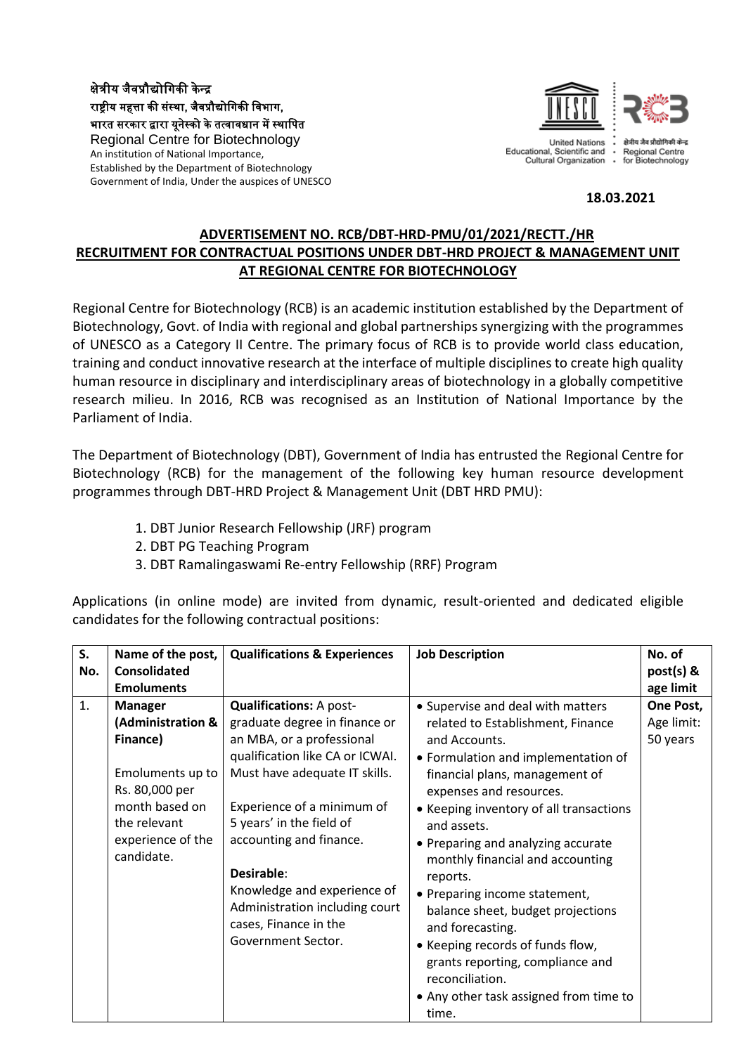क्षेत्रीय जैवप्रौद्योगिकी के न्द्र राष्ट्रीय महत्ता की संस्था, जैवप्रौद्योगिकी विभाग, भारत सरकार द्वारा यूनेस्को के तत्वावधान में स्थागित Regional Centre for Biotechnology An institution of National Importance, Established by the Department of Biotechnology Government of India, Under the auspices of UNESCO



Educational, Scientific and Cultural Organization  $\ddot{\phantom{0}}$ 



## **18.03.2021**

## **ADVERTISEMENT NO. RCB/DBT-HRD-PMU/01/2021/RECTT./HR RECRUITMENT FOR CONTRACTUAL POSITIONS UNDER DBT-HRD PROJECT & MANAGEMENT UNIT AT REGIONAL CENTRE FOR BIOTECHNOLOGY**

Regional Centre for Biotechnology (RCB) is an academic institution established by the Department of Biotechnology, Govt. of India with regional and global partnerships synergizing with the programmes of UNESCO as a Category II Centre. The primary focus of RCB is to provide world class education, training and conduct innovative research at the interface of multiple disciplines to create high quality human resource in disciplinary and interdisciplinary areas of biotechnology in a globally competitive research milieu. In 2016, RCB was recognised as an Institution of National Importance by the Parliament of India.

The Department of Biotechnology (DBT), Government of India has entrusted the Regional Centre for Biotechnology (RCB) for the management of the following key human resource development programmes through DBT-HRD Project & Management Unit (DBT HRD PMU):

- 1. DBT Junior Research Fellowship (JRF) program
- 2. DBT PG Teaching Program
- 3. DBT Ramalingaswami Re-entry Fellowship (RRF) Program

Applications (in online mode) are invited from dynamic, result-oriented and dedicated eligible candidates for the following contractual positions: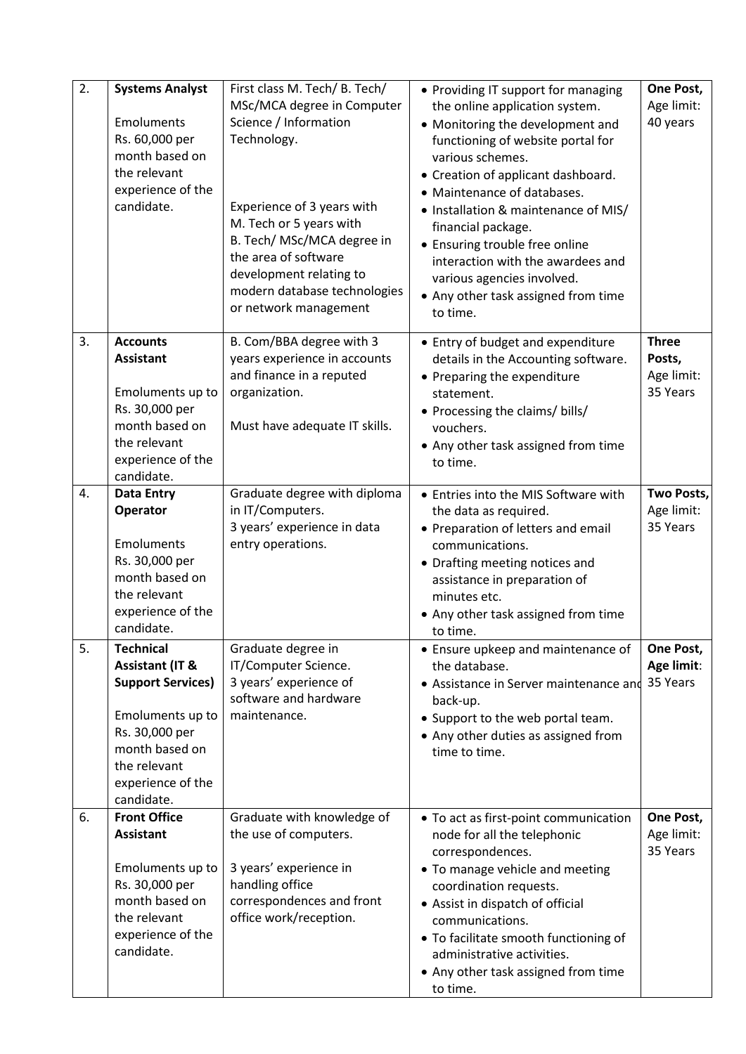| 2. | <b>Systems Analyst</b><br>Emoluments<br>Rs. 60,000 per<br>month based on<br>the relevant<br>experience of the<br>candidate.                                                           | First class M. Tech/ B. Tech/<br>MSc/MCA degree in Computer<br>Science / Information<br>Technology.<br>Experience of 3 years with<br>M. Tech or 5 years with<br>B. Tech/ MSc/MCA degree in<br>the area of software<br>development relating to<br>modern database technologies<br>or network management | • Providing IT support for managing<br>the online application system.<br>• Monitoring the development and<br>functioning of website portal for<br>various schemes.<br>• Creation of applicant dashboard.<br>• Maintenance of databases.<br>• Installation & maintenance of MIS/<br>financial package.<br>• Ensuring trouble free online<br>interaction with the awardees and<br>various agencies involved.<br>• Any other task assigned from time<br>to time. | One Post,<br>Age limit:<br>40 years              |
|----|---------------------------------------------------------------------------------------------------------------------------------------------------------------------------------------|--------------------------------------------------------------------------------------------------------------------------------------------------------------------------------------------------------------------------------------------------------------------------------------------------------|---------------------------------------------------------------------------------------------------------------------------------------------------------------------------------------------------------------------------------------------------------------------------------------------------------------------------------------------------------------------------------------------------------------------------------------------------------------|--------------------------------------------------|
| 3. | <b>Accounts</b><br><b>Assistant</b><br>Emoluments up to<br>Rs. 30,000 per<br>month based on<br>the relevant<br>experience of the<br>candidate.                                        | B. Com/BBA degree with 3<br>years experience in accounts<br>and finance in a reputed<br>organization.<br>Must have adequate IT skills.                                                                                                                                                                 | • Entry of budget and expenditure<br>details in the Accounting software.<br>• Preparing the expenditure<br>statement.<br>• Processing the claims/ bills/<br>vouchers.<br>• Any other task assigned from time<br>to time.                                                                                                                                                                                                                                      | <b>Three</b><br>Posts,<br>Age limit:<br>35 Years |
| 4. | <b>Data Entry</b><br>Operator<br>Emoluments<br>Rs. 30,000 per<br>month based on<br>the relevant<br>experience of the<br>candidate.                                                    | Graduate degree with diploma<br>in IT/Computers.<br>3 years' experience in data<br>entry operations.                                                                                                                                                                                                   | • Entries into the MIS Software with<br>the data as required.<br>• Preparation of letters and email<br>communications.<br>• Drafting meeting notices and<br>assistance in preparation of<br>minutes etc.<br>• Any other task assigned from time<br>to time.                                                                                                                                                                                                   | Two Posts,<br>Age limit:<br>35 Years             |
| 5. | <b>Technical</b><br><b>Assistant (IT &amp;</b><br><b>Support Services)</b><br>Emoluments up to<br>Rs. 30,000 per<br>month based on<br>the relevant<br>experience of the<br>candidate. | Graduate degree in<br>IT/Computer Science.<br>3 years' experience of<br>software and hardware<br>maintenance.                                                                                                                                                                                          | • Ensure upkeep and maintenance of<br>the database.<br>• Assistance in Server maintenance and<br>back-up.<br>• Support to the web portal team.<br>• Any other duties as assigned from<br>time to time.                                                                                                                                                                                                                                                        | One Post,<br>Age limit:<br>35 Years              |
| 6. | <b>Front Office</b><br><b>Assistant</b><br>Emoluments up to<br>Rs. 30,000 per<br>month based on<br>the relevant<br>experience of the<br>candidate.                                    | Graduate with knowledge of<br>the use of computers.<br>3 years' experience in<br>handling office<br>correspondences and front<br>office work/reception.                                                                                                                                                | • To act as first-point communication<br>node for all the telephonic<br>correspondences.<br>• To manage vehicle and meeting<br>coordination requests.<br>• Assist in dispatch of official<br>communications.<br>• To facilitate smooth functioning of<br>administrative activities.<br>• Any other task assigned from time<br>to time.                                                                                                                        | One Post,<br>Age limit:<br>35 Years              |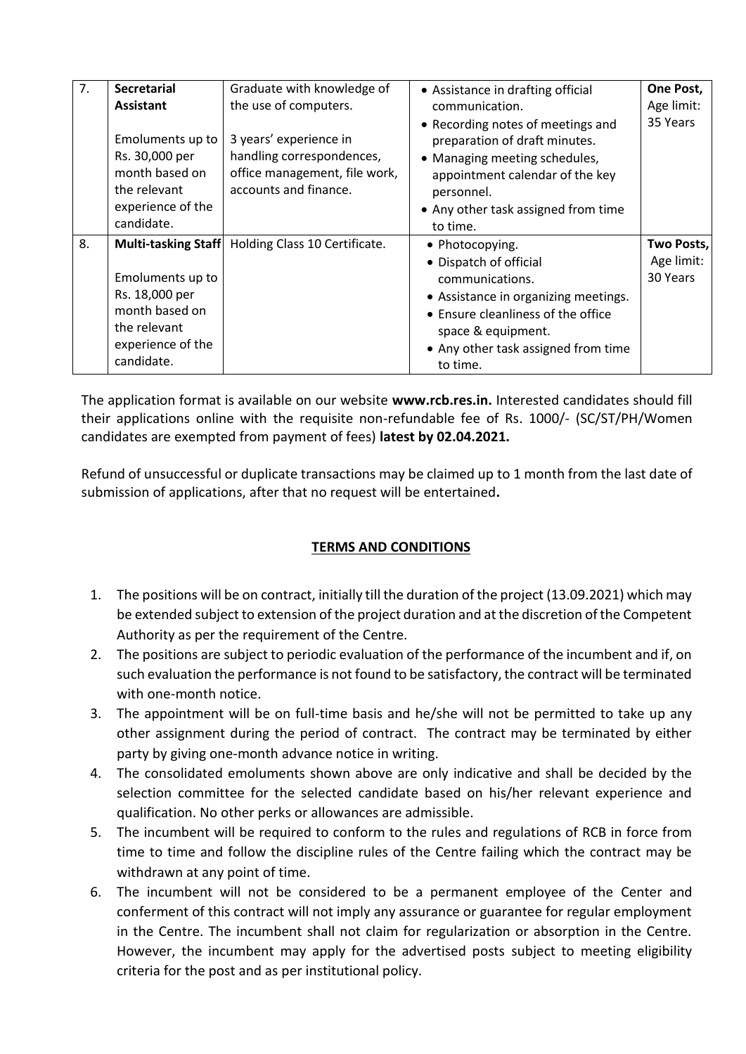| 7. | <b>Secretarial</b>                                                                                      | Graduate with knowledge of                                                                                    | • Assistance in drafting official                                                                                                                                                                       | One Post,  |
|----|---------------------------------------------------------------------------------------------------------|---------------------------------------------------------------------------------------------------------------|---------------------------------------------------------------------------------------------------------------------------------------------------------------------------------------------------------|------------|
|    | <b>Assistant</b>                                                                                        | the use of computers.                                                                                         | communication.                                                                                                                                                                                          | Age limit: |
|    | Emoluments up to<br>Rs. 30,000 per<br>month based on<br>the relevant<br>experience of the<br>candidate. | 3 years' experience in<br>handling correspondences,<br>office management, file work,<br>accounts and finance. | • Recording notes of meetings and<br>preparation of draft minutes.<br>• Managing meeting schedules,<br>appointment calendar of the key<br>personnel.<br>• Any other task assigned from time<br>to time. | 35 Years   |
| 8. |                                                                                                         | Multi-tasking Staff   Holding Class 10 Certificate.                                                           | • Photocopying.                                                                                                                                                                                         | Two Posts, |
|    |                                                                                                         |                                                                                                               | • Dispatch of official                                                                                                                                                                                  | Age limit: |
|    | Emoluments up to                                                                                        |                                                                                                               | communications.                                                                                                                                                                                         | 30 Years   |
|    | Rs. 18,000 per                                                                                          |                                                                                                               | • Assistance in organizing meetings.                                                                                                                                                                    |            |
|    | month based on                                                                                          |                                                                                                               | • Ensure cleanliness of the office                                                                                                                                                                      |            |
|    | the relevant                                                                                            |                                                                                                               | space & equipment.                                                                                                                                                                                      |            |
|    | experience of the                                                                                       |                                                                                                               | • Any other task assigned from time                                                                                                                                                                     |            |
|    | candidate.                                                                                              |                                                                                                               | to time.                                                                                                                                                                                                |            |

The application format is available on our website **www.rcb.res.in.** Interested candidates should fill their applications online with the requisite non-refundable fee of Rs. 1000/- (SC/ST/PH/Women candidates are exempted from payment of fees) **latest by 02.04.2021.** 

Refund of unsuccessful or duplicate transactions may be claimed up to 1 month from the last date of submission of applications, after that no request will be entertained**.** 

## **TERMS AND CONDITIONS**

- 1. The positions will be on contract, initially till the duration of the project (13.09.2021) which may be extended subject to extension of the project duration and at the discretion of the Competent Authority as per the requirement of the Centre.
- 2. The positions are subject to periodic evaluation of the performance of the incumbent and if, on such evaluation the performance is not found to be satisfactory, the contract will be terminated with one-month notice.
- 3. The appointment will be on full-time basis and he/she will not be permitted to take up any other assignment during the period of contract. The contract may be terminated by either party by giving one-month advance notice in writing.
- 4. The consolidated emoluments shown above are only indicative and shall be decided by the selection committee for the selected candidate based on his/her relevant experience and qualification. No other perks or allowances are admissible.
- 5. The incumbent will be required to conform to the rules and regulations of RCB in force from time to time and follow the discipline rules of the Centre failing which the contract may be withdrawn at any point of time.
- 6. The incumbent will not be considered to be a permanent employee of the Center and conferment of this contract will not imply any assurance or guarantee for regular employment in the Centre. The incumbent shall not claim for regularization or absorption in the Centre. However, the incumbent may apply for the advertised posts subject to meeting eligibility criteria for the post and as per institutional policy.